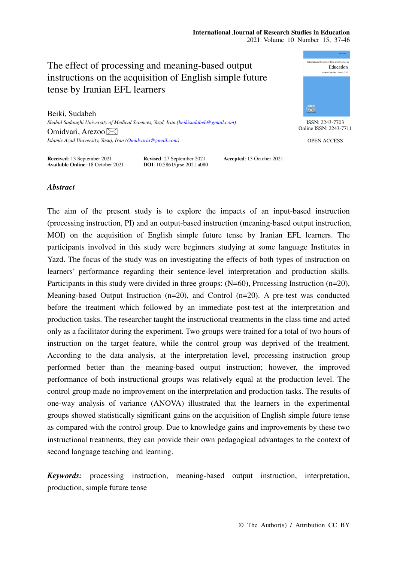#### **International Journal of Research Studies in Education**  2021 Volume 10 Number 15, 37-46



# *Abstract*

The aim of the present study is to explore the impacts of an input-based instruction (processing instruction, PI) and an output-based instruction (meaning-based output instruction, MOI) on the acquisition of English simple future tense by Iranian EFL learners. The participants involved in this study were beginners studying at some language Institutes in Yazd. The focus of the study was on investigating the effects of both types of instruction on learners' performance regarding their sentence-level interpretation and production skills. Participants in this study were divided in three groups: (N=60), Processing Instruction (n=20), Meaning-based Output Instruction (n=20), and Control (n=20). A pre-test was conducted before the treatment which followed by an immediate post-test at the interpretation and production tasks. The researcher taught the instructional treatments in the class time and acted only as a facilitator during the experiment. Two groups were trained for a total of two hours of instruction on the target feature, while the control group was deprived of the treatment. According to the data analysis, at the interpretation level, processing instruction group performed better than the meaning-based output instruction; however, the improved performance of both instructional groups was relatively equal at the production level. The control group made no improvement on the interpretation and production tasks. The results of one-way analysis of variance (ANOVA) illustrated that the learners in the experimental groups showed statistically significant gains on the acquisition of English simple future tense as compared with the control group. Due to knowledge gains and improvements by these two instructional treatments, they can provide their own pedagogical advantages to the context of second language teaching and learning.

*Keywords:* processing instruction, meaning-based output instruction, interpretation, production, simple future tense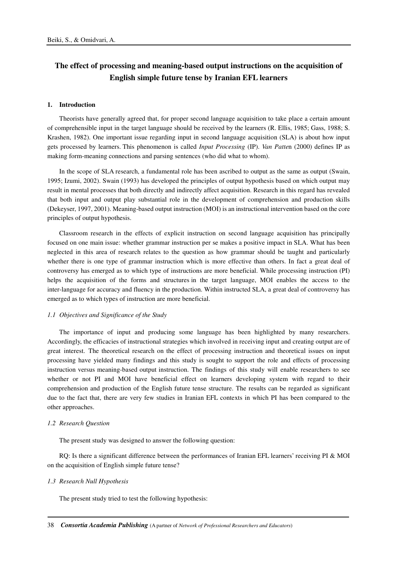# **The effect of processing and meaning-based output instructions on the acquisition of English simple future tense by Iranian EFL learners**

#### **1. Introduction**

Theorists have generally agreed that, for proper second language acquisition to take place a certain amount of comprehensible input in the target language should be received by the learners (R. Ellis, 1985; Gass, 1988; S. Krashen, 1982). One important issue regarding input in second language acquisition (SLA) is about how input gets processed by learners. This phenomenon is called *Input Processing* (IP). *Van Patte*n (2000) defines IP as making form-meaning connections and parsing sentences (who did what to whom).

In the scope of SLA research, a fundamental role has been ascribed to output as the same as output (Swain, 1995; Izumi, 2002). Swain (1993) has developed the principles of output hypothesis based on which output may result in mental processes that both directly and indirectly affect acquisition. Research in this regard has revealed that both input and output play substantial role in the development of comprehension and production skills (Dekeyser, 1997, 2001). Meaning-based output instruction (MOI) is an instructional intervention based on the core principles of output hypothesis.

Classroom research in the effects of explicit instruction on second language acquisition has principally focused on one main issue: whether grammar instruction per se makes a positive impact in SLA. What has been neglected in this area of research relates to the question as how grammar should be taught and particularly whether there is one type of grammar instruction which is more effective than others. In fact a great deal of controversy has emerged as to which type of instructions are more beneficial. While processing instruction (PI) helps the acquisition of the forms and structures in the target language, MOI enables the access to the inter-language for accuracy and fluency in the production. Within instructed SLA, a great deal of controversy has emerged as to which types of instruction are more beneficial.

## *1.1 Objectives and Significance of the Study*

The importance of input and producing some language has been highlighted by many researchers. Accordingly, the efficacies of instructional strategies which involved in receiving input and creating output are of great interest. The theoretical research on the effect of processing instruction and theoretical issues on input processing have yielded many findings and this study is sought to support the role and effects of processing instruction versus meaning-based output instruction. The findings of this study will enable researchers to see whether or not PI and MOI have beneficial effect on learners developing system with regard to their comprehension and production of the English future tense structure. The results can be regarded as significant due to the fact that, there are very few studies in Iranian EFL contexts in which PI has been compared to the other approaches.

#### *1.2 Research Question*

The present study was designed to answer the following question:

RQ: Is there a significant difference between the performances of Iranian EFL learners' receiving PI & MOI on the acquisition of English simple future tense?

#### *1.3 Research Null Hypothesis*

The present study tried to test the following hypothesis: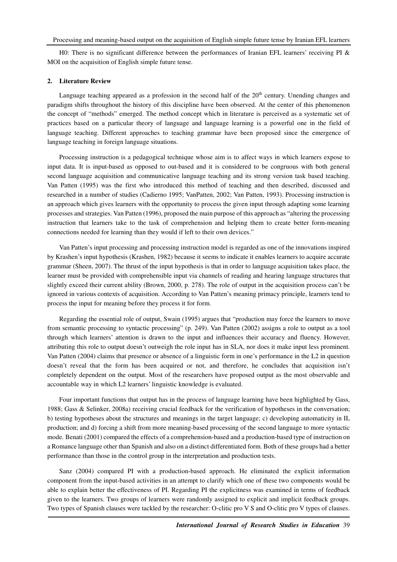H0: There is no significant difference between the performances of Iranian EFL learners' receiving PI & MOI on the acquisition of English simple future tense.

#### **2. Literature Review**

Language teaching appeared as a profession in the second half of the  $20<sup>th</sup>$  century. Unending changes and paradigm shifts throughout the history of this discipline have been observed. At the center of this phenomenon the concept of "methods" emerged. The method concept which in literature is perceived as a systematic set of practices based on a particular theory of language and language learning is a powerful one in the field of language teaching. Different approaches to teaching grammar have been proposed since the emergence of language teaching in foreign language situations.

Processing instruction is a pedagogical technique whose aim is to affect ways in which learners expose to input data. It is input-based as opposed to out-based and it is considered to be congruous with both general second language acquisition and communicative language teaching and its strong version task based teaching. Van Patten (1995) was the first who introduced this method of teaching and then described, discussed and researched in a number of studies (Cadierno 1995; VanPatten, 2002; Van Patten, 1993). Processing instruction is an approach which gives learners with the opportunity to process the given input through adapting some learning processes and strategies. Van Patten (1996), proposed the main purpose of this approach as "altering the processing instruction that learners take to the task of comprehension and helping them to create better form-meaning connections needed for learning than they would if left to their own devices."

Van Patten's input processing and processing instruction model is regarded as one of the innovations inspired by Krashen's input hypothesis (Krashen, 1982) because it seems to indicate it enables learners to acquire accurate grammar (Sheen, 2007). The thrust of the input hypothesis is that in order to language acquisition takes place, the learner must be provided with comprehensible input via channels of reading and hearing language structures that slightly exceed their current ability (Brown, 2000, p. 278). The role of output in the acquisition process can't be ignored in various contexts of acquisition. According to Van Patten's meaning primacy principle, learners tend to process the input for meaning before they process it for form.

Regarding the essential role of output, Swain (1995) argues that "production may force the learners to move from semantic processing to syntactic processing" (p. 249). Van Patten (2002) assigns a role to output as a tool through which learners' attention is drawn to the input and influences their accuracy and fluency. However, attributing this role to output doesn't outweigh the role input has in SLA, nor does it make input less prominent. Van Patten (2004) claims that presence or absence of a linguistic form in one's performance in the L2 in question doesn't reveal that the form has been acquired or not, and therefore, he concludes that acquisition isn't completely dependent on the output. Most of the researchers have proposed output as the most observable and accountable way in which L2 learners' linguistic knowledge is evaluated.

Four important functions that output has in the process of language learning have been highlighted by Gass, 1988; Gass & Selinker, 2008a) receiving crucial feedback for the verification of hypotheses in the conversation; b) testing hypotheses about the structures and meanings in the target language; c) developing automaticity in IL production; and d) forcing a shift from more meaning-based processing of the second language to more syntactic mode. Benati (2001) compared the effects of a comprehension-based and a production-based type of instruction on a Romance language other than Spanish and also on a distinct differentiated form. Both of these groups had a better performance than those in the control group in the interpretation and production tests.

Sanz (2004) compared PI with a production-based approach. He eliminated the explicit information component from the input-based activities in an attempt to clarify which one of these two components would be able to explain better the effectiveness of PI. Regarding PI the explicitness was examined in terms of feedback given to the learners. Two groups of learners were randomly assigned to explicit and implicit feedback groups. Two types of Spanish clauses were tackled by the researcher: O-clitic pro V S and O-clitic pro V types of clauses.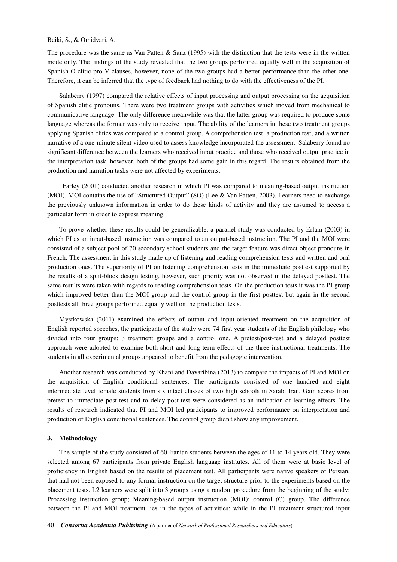The procedure was the same as Van Patten & Sanz (1995) with the distinction that the tests were in the written mode only. The findings of the study revealed that the two groups performed equally well in the acquisition of Spanish O-clitic pro V clauses, however, none of the two groups had a better performance than the other one. Therefore, it can be inferred that the type of feedback had nothing to do with the effectiveness of the PI.

Salaberry (1997) compared the relative effects of input processing and output processing on the acquisition of Spanish clitic pronouns. There were two treatment groups with activities which moved from mechanical to communicative language. The only difference meanwhile was that the latter group was required to produce some language whereas the former was only to receive input. The ability of the learners in these two treatment groups applying Spanish clitics was compared to a control group. A comprehension test, a production test, and a written narrative of a one-minute silent video used to assess knowledge incorporated the assessment. Salaberry found no significant difference between the learners who received input practice and those who received output practice in the interpretation task, however, both of the groups had some gain in this regard. The results obtained from the production and narration tasks were not affected by experiments.

 Farley (2001) conducted another research in which PI was compared to meaning-based output instruction (MOI). MOI contains the use of "Structured Output" (SO) (Lee & Van Patten, 2003). Learners need to exchange the previously unknown information in order to do these kinds of activity and they are assumed to access a particular form in order to express meaning.

To prove whether these results could be generalizable, a parallel study was conducted by Erlam (2003) in which PI as an input-based instruction was compared to an output-based instruction. The PI and the MOI were consisted of a subject pool of 70 secondary school students and the target feature was direct object pronouns in French. The assessment in this study made up of listening and reading comprehension tests and written and oral production ones. The superiority of PI on listening comprehension tests in the immediate posttest supported by the results of a split-block design testing, however, such priority was not observed in the delayed posttest. The same results were taken with regards to reading comprehension tests. On the production tests it was the PI group which improved better than the MOI group and the control group in the first posttest but again in the second posttests all three groups performed equally well on the production tests.

Mystkowska (2011) examined the effects of output and input-oriented treatment on the acquisition of English reported speeches, the participants of the study were 74 first year students of the English philology who divided into four groups: 3 treatment groups and a control one. A pretest/post-test and a delayed posttest approach were adopted to examine both short and long term effects of the three instructional treatments. The students in all experimental groups appeared to benefit from the pedagogic intervention.

Another research was conducted by Khani and Davaribina (2013) to compare the impacts of PI and MOI on the acquisition of English conditional sentences. The participants consisted of one hundred and eight intermediate level female students from six intact classes of two high schools in Sarab, Iran. Gain scores from pretest to immediate post-test and to delay post-test were considered as an indication of learning effects. The results of research indicated that PI and MOI led participants to improved performance on interpretation and production of English conditional sentences. The control group didn't show any improvement.

## **3. Methodology**

The sample of the study consisted of 60 Iranian students between the ages of 11 to 14 years old. They were selected among 67 participants from private English language institutes. All of them were at basic level of proficiency in English based on the results of placement test. All participants were native speakers of Persian, that had not been exposed to any formal instruction on the target structure prior to the experiments based on the placement tests. L2 learners were split into 3 groups using a random procedure from the beginning of the study: Processing instruction group; Meaning-based output instruction (MOI); control (C) group. The difference between the PI and MOI treatment lies in the types of activities; while in the PI treatment structured input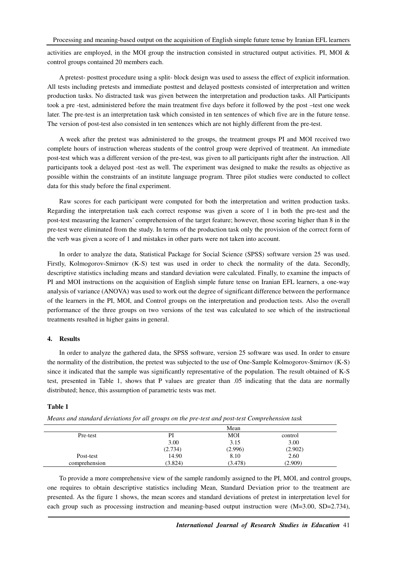activities are employed, in the MOI group the instruction consisted in structured output activities. PI, MOI & control groups contained 20 members each.

A pretest- posttest procedure using a split- block design was used to assess the effect of explicit information. All tests including pretests and immediate posttest and delayed posttests consisted of interpretation and written production tasks. No distracted task was given between the interpretation and production tasks. All Participants took a pre -test, administered before the main treatment five days before it followed by the post –test one week later. The pre-test is an interpretation task which consisted in ten sentences of which five are in the future tense. The version of post-test also consisted in ten sentences which are not highly different from the pre-test.

A week after the pretest was administered to the groups, the treatment groups PI and MOI received two complete hours of instruction whereas students of the control group were deprived of treatment. An immediate post-test which was a different version of the pre-test, was given to all participants right after the instruction. All participants took a delayed post -test as well. The experiment was designed to make the results as objective as possible within the constraints of an institute language program. Three pilot studies were conducted to collect data for this study before the final experiment.

Raw scores for each participant were computed for both the interpretation and written production tasks. Regarding the interpretation task each correct response was given a score of 1 in both the pre-test and the post-test measuring the learners' comprehension of the target feature; however, those scoring higher than 8 in the pre-test were eliminated from the study. In terms of the production task only the provision of the correct form of the verb was given a score of 1 and mistakes in other parts were not taken into account.

In order to analyze the data, Statistical Package for Social Science (SPSS) software version 25 was used. Firstly, Kolmogorov-Smirnov (K-S) test was used in order to check the normality of the data. Secondly, descriptive statistics including means and standard deviation were calculated. Finally, to examine the impacts of PI and MOI instructions on the acquisition of English simple future tense on Iranian EFL learners, a one-way analysis of variance (ANOVA) was used to work out the degree of significant difference between the performance of the learners in the PI, MOI, and Control groups on the interpretation and production tests. Also the overall performance of the three groups on two versions of the test was calculated to see which of the instructional treatments resulted in higher gains in general.

## **4. Results**

In order to analyze the gathered data, the SPSS software, version 25 software was used. In order to ensure the normality of the distribution, the pretest was subjected to the use of One-Sample Kolmogorov-Smirnov (K-S) since it indicated that the sample was significantly representative of the population. The result obtained of K-S test, presented in Table 1, shows that P values are greater than .05 indicating that the data are normally distributed; hence, this assumption of parametric tests was met.

## **Table 1**

| Means and standard deviations for all groups on the pre-test and post-test Comprehension task |  |
|-----------------------------------------------------------------------------------------------|--|
|-----------------------------------------------------------------------------------------------|--|

|               | Mean                 |         |         |  |  |
|---------------|----------------------|---------|---------|--|--|
| Pre-test      | MOI<br>PI<br>control |         |         |  |  |
|               | 3.00                 | 3.15    | 3.00    |  |  |
|               | (2.734)              | (2.996) | (2.902) |  |  |
| Post-test     | 14.90                | 8.10    | 2.60    |  |  |
| comprehension | (3.824)              | (3.478) | (2.909) |  |  |

To provide a more comprehensive view of the sample randomly assigned to the PI, MOI, and control groups, one requires to obtain descriptive statistics including Mean, Standard Deviation prior to the treatment are presented. As the figure 1 shows, the mean scores and standard deviations of pretest in interpretation level for each group such as processing instruction and meaning-based output instruction were (M=3.00, SD=2.734),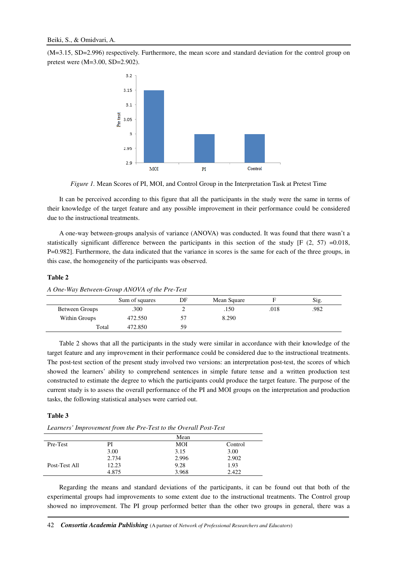(M=3.15, SD=2.996) respectively. Furthermore, the mean score and standard deviation for the control group on pretest were (M=3.00, SD=2.902).



*Figure 1.* Mean Scores of PI, MOI, and Control Group in the Interpretation Task at Pretest Time

It can be perceived according to this figure that all the participants in the study were the same in terms of their knowledge of the target feature and any possible improvement in their performance could be considered due to the instructional treatments.

A one-way between-groups analysis of variance (ANOVA) was conducted. It was found that there wasn't a statistically significant difference between the participants in this section of the study  $[F (2, 57) = 0.018$ , P=0.982]. Furthermore, the data indicated that the variance in scores is the same for each of the three groups, in this case, the homogeneity of the participants was observed.

## **Table 2**

| $11$ one may be near show $1110$ me the test |                |    |             |      |      |
|----------------------------------------------|----------------|----|-------------|------|------|
|                                              | Sum of squares | DF | Mean Square |      | Sig. |
| Between Groups                               | .300           |    | .150        | .018 | .982 |
| Within Groups                                | 472.550        |    | 8.290       |      |      |
| Total                                        | 472.850        | 59 |             |      |      |

*A One-Way Between-Group ANOVA of the Pre-Test* 

Table 2 shows that all the participants in the study were similar in accordance with their knowledge of the target feature and any improvement in their performance could be considered due to the instructional treatments. The post-test section of the present study involved two versions: an interpretation post-test, the scores of which showed the learners' ability to comprehend sentences in simple future tense and a written production test constructed to estimate the degree to which the participants could produce the target feature. The purpose of the current study is to assess the overall performance of the PI and MOI groups on the interpretation and production tasks, the following statistical analyses were carried out.

## **Table 3**

*Learners' Improvement from the Pre-Test to the Overall Post-Test* 

|               |       | Mean  |         |
|---------------|-------|-------|---------|
| Pre-Test      | PI    | MOI   | Control |
|               | 3.00  | 3.15  | 3.00    |
|               | 2.734 | 2.996 | 2.902   |
| Post-Test All | 12.23 | 9.28  | 1.93    |
|               | 4.875 | 3.968 | 2.422   |

Regarding the means and standard deviations of the participants, it can be found out that both of the experimental groups had improvements to some extent due to the instructional treatments. The Control group showed no improvement. The PI group performed better than the other two groups in general, there was a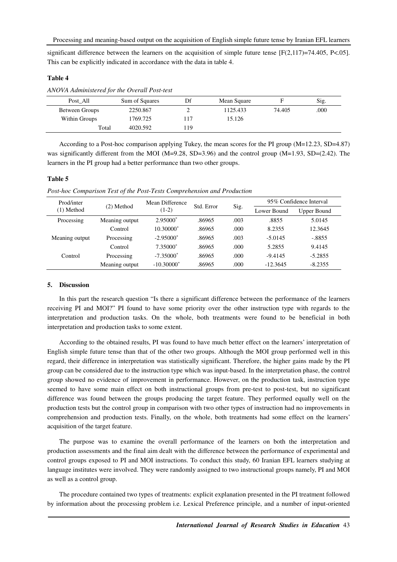Processing and meaning-based output on the acquisition of English simple future tense by Iranian EFL learners

significant difference between the learners on the acquisition of simple future tense  $[F(2,117)=74.405, P<.05]$ . This can be explicitly indicated in accordance with the data in table 4.

# **Table 4**

| Post All       | Sum of Squares | Df  | Mean Square | F      | Sig. |
|----------------|----------------|-----|-------------|--------|------|
| Between Groups | 2250.867       |     | 1125.433    | 74.405 | .000 |
| Within Groups  | 1769.725       | 117 | 15.126      |        |      |
| Total          | 4020.592       | 119 |             |        |      |

According to a Post-hoc comparison applying Tukey, the mean scores for the PI group (M=12.23, SD=4.87) was significantly different from the MOI (M=9.28, SD=3.96) and the control group (M=1.93, SD=(2.42). The learners in the PI group had a better performance than two other groups.

## **Table 5**

*Post-hoc Comparison Test of the Post-Tests Comprehension and Production* 

| Prod/inter<br>$(2)$ Method<br>$(1)$ Method |                | Mean Difference          | Std. Error |             | 95% Confidence Interval |           |
|--------------------------------------------|----------------|--------------------------|------------|-------------|-------------------------|-----------|
|                                            | $(1-2)$        |                          | Sig.       | Lower Bound | <b>Upper Bound</b>      |           |
| Processing                                 | Meaning output | 2.95000*                 | .86965     | .003        | .8855                   | 5.0145    |
|                                            | Control        | $10.30000*$              | .86965     | .000        | 8.2355                  | 12.3645   |
| Meaning output                             | Processing     | $-2.95000*$              | .86965     | .003        | $-5.0145$               | $-.8855$  |
|                                            | Control        | 7.35000*                 | .86965     | .000        | 5.2855                  | 9.4145    |
| Control                                    | Processing     | $-7.35000*$              | .86965     | .000        | $-9.4145$               | $-5.2855$ |
|                                            | Meaning output | $-10.30000$ <sup>*</sup> | .86965     | .000        | $-12.3645$              | $-8.2355$ |

# **5. Discussion**

In this part the research question "Is there a significant difference between the performance of the learners receiving PI and MOI?" PI found to have some priority over the other instruction type with regards to the interpretation and production tasks. On the whole, both treatments were found to be beneficial in both interpretation and production tasks to some extent.

According to the obtained results, PI was found to have much better effect on the learners' interpretation of English simple future tense than that of the other two groups. Although the MOI group performed well in this regard, their difference in interpretation was statistically significant. Therefore, the higher gains made by the PI group can be considered due to the instruction type which was input-based. In the interpretation phase, the control group showed no evidence of improvement in performance. However, on the production task, instruction type seemed to have some main effect on both instructional groups from pre-test to post-test, but no significant difference was found between the groups producing the target feature. They performed equally well on the production tests but the control group in comparison with two other types of instruction had no improvements in comprehension and production tests. Finally, on the whole, both treatments had some effect on the learners' acquisition of the target feature.

The purpose was to examine the overall performance of the learners on both the interpretation and production assessments and the final aim dealt with the difference between the performance of experimental and control groups exposed to PI and MOI instructions. To conduct this study, 60 Iranian EFL learners studying at language institutes were involved. They were randomly assigned to two instructional groups namely, PI and MOI as well as a control group.

The procedure contained two types of treatments: explicit explanation presented in the PI treatment followed by information about the processing problem i.e. Lexical Preference principle, and a number of input-oriented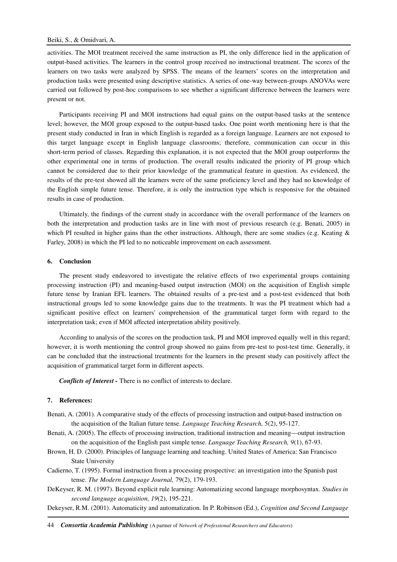activities. The MOI treatment received the same instruction as PI, the only difference lied in the application of output-based activities. The learners in the control group received no instructional treatment. The scores of the learners on two tasks were analyzed by SPSS. The means of the learners' scores on the interpretation and production tasks were presented using descriptive statistics. A series of one-way between-groups ANOVAs were carried out followed by post-hoc comparisons to see whether a significant difference between the learners were present or not.

Participants receiving PI and MOI instructions had equal gains on the output-based tasks at the sentence level; however, the MOI group exposed to the output-based tasks. One point worth mentioning here is that the present study conducted in Iran in which English is regarded as a foreign language. Learners are not exposed to this target language except in English language classrooms; therefore, communication can occur in this short-term period of classes. Regarding this explanation, it is not expected that the MOI group outperforms the other experimental one in terms of production. The overall results indicated the priority of PI group which cannot be considered due to their prior knowledge of the grammatical feature in question. As evidenced, the results of the pre-test showed all the learners were of the same proficiency level and they had no knowledge of the English simple future tense. Therefore, it is only the instruction type which is responsive for the obtained results in case of production.

Ultimately, the findings of the current study in accordance with the overall performance of the learners on both the interpretation and production tasks are in line with most of previous research (e.g. Benati, 2005) in which PI resulted in higher gains than the other instructions. Although, there are some studies (e.g. Keating  $\&$ Farley, 2008) in which the PI led to no noticeable improvement on each assessment.

## **6. Conclusion**

The present study endeavored to investigate the relative effects of two experimental groups containing processing instruction (PI) and meaning-based output instruction (MOI) on the acquisition of English simple future tense by Iranian EFL learners. The obtained results of a pre-test and a post-test evidenced that both instructional groups led to some knowledge gains due to the treatments. It was the PI treatment which had a significant positive effect on learners' comprehension of the grammatical target form with regard to the interpretation task; even if MOI affected interpretation ability positively.

According to analysis of the scores on the production task, PI and MOI improved equally well in this regard; however, it is worth mentioning the control group showed no gains from pre-test to post-test time. Generally, it can be concluded that the instructional treatments for the learners in the present study can positively affect the acquisition of grammatical target form in different aspects.

*Conflicts of Interest -* There is no conflict of interests to declare.

## **7. References:**

- Benati, A. (2001). A comparative study of the effects of processing instruction and output-based instruction on the acquisition of the Italian future tense. *Language Teaching Research,* 5(2), 95-127.
- Benati, A. (2005). The effects of processing instruction, traditional instruction and meaning—output instruction on the acquisition of the English past simple tense. *Language Teaching Research, 9*(1), 67-93.
- Brown, H. D. (2000). Principles of language learning and teaching. United States of America: San Francisco State University
- Cadierno, T. (1995). Formal instruction from a processing prospective: an investigation into the Spanish past tense. *The Modern Language Journal,* 79(2), 179-193.
- DeKeyser, R. M. (1997). Beyond explicit rule learning: Automatizing second language morphosyntax. *Studies in second language acquisition, 19*(2), 195-221.

Dekeyser, R.M. (2001). Automaticity and automatization. In P. Robinson (Ed.), *Cognition and Second Language*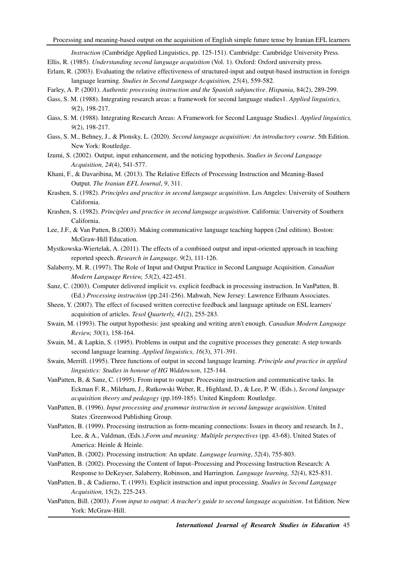Processing and meaning-based output on the acquisition of English simple future tense by Iranian EFL learners

*Instruction* (Cambridge Applied Linguistics, pp. 125-151). Cambridge: Cambridge University Press.

Ellis, R. (1985). *Understanding second language acquisition* (Vol. 1). Oxford: Oxford university press.

- Erlam, R. (2003). Evaluating the relative effectiveness of structured-input and output-based instruction in foreign language learning. *Studies in Second Language Acquisition, 25*(4), 559-582.
- Farley, A. P. (2001). *Authentic processing instruction and the Spanish subjunctive*. *Hispania*, 84(2), 289-299.
- Gass, S. M. (1988). Integrating research areas: a framework for second language studies1. *Applied linguistics, 9*(2), 198-217.
- Gass, S. M. (1988). Integrating Research Areas: A Framework for Second Language Studies1. *Applied linguistics, 9*(2), 198-217.
- Gass, S. M., Behney, J., & Plonsky, L. (2020). *Second language acquisition: An introductory course*. 5th Edition. New York: Routledge.
- Izumi, S. (2002). Output, input enhancement, and the noticing hypothesis. *Studies in Second Language Acquisition, 24*(4), 541-577.
- Khani, F., & Davaribina, M. (2013). The Relative Effects of Processing Instruction and Meaning-Based Output. *The Iranian EFL Journal*, *9*, 311.
- Krashen, S. (1982). *Principles and practice in second language acquisition*. Los Angeles: University of Southern California.
- Krashen, S. (1982). *Principles and practice in second language acquisition*. California: University of Southern California.
- Lee, J.F., & Van Patten, B.(2003). Making communicative language teaching happen (2nd edition). Boston: McGraw-Hill Education.
- Mystkowska-Wiertelak, A. (2011). The effects of a combined output and input-oriented approach in teaching reported speech. *Research in Language, 9*(2), 111-126.
- Salaberry, M. R. (1997). The Role of Input and Output Practice in Second Language Acquisition. *Canadian Modern Language Review, 53*(2), 422-451.
- Sanz, C. (2003). Computer delivered implicit vs. explicit feedback in processing instruction. In VanPatten, B. (Ed.) *Processing instruction* (pp.241-256). Mahwah, New Jersey: Lawrence Erlbaum Associates.
- Sheen, Y. (2007). The effect of focused written corrective feedback and language aptitude on ESL learners' acquisition of articles. *Tesol Quarterly, 41*(2), 255-283.
- Swain, M. (1993). The output hypothesis: just speaking and writing aren't enough. *Canadian Modern Language Review, 50*(1), 158-164.
- Swain, M., & Lapkin, S. (1995). Problems in output and the cognitive processes they generate: A step towards second language learning. *Applied linguistics*, *16*(3), 371-391.
- Swain, Merrill. (1995). Three functions of output in second language learning. *Principle and practice in applied linguistics: Studies in honour of HG Widdowson*, 125-144.
- VanPatten, B, & Sanz, C. (1995). From input to output: Processing instruction and communicative tasks. In Eckman F. R., Mileham, J., Rutkowski Weber, R., Highland, D., & Lee, P. W. (Eds.), *Second language acquisition theory and pedagogy* (pp.169-185). United Kingdom: Routledge.
- VanPatten, B. (1996). *Input processing and grammar instruction in second language acquisition*. United States :Greenwood Publishing Group.
- VanPatten, B. (1999). Processing instruction as form-meaning connections: Issues in theory and research. In J., Lee, & A., Valdman, (Eds.),*Form and meaning: Multiple perspectives* (pp. 43-68). United States of America: Heinle & Heinle.
- VanPatten, B. (2002). Processing instruction: An update. *Language learning*, *52*(4), 755-803.
- VanPatten, B. (2002). Processing the Content of Input–Processing and Processing Instruction Research: A Response to DeKeyser, Salaberry, Robinson, and Harrington. *Language learning, 52*(4), 825-831.
- VanPatten, B., & Cadierno, T. (1993). Explicit instruction and input processing. *Studies in Second Language Acquisition,* 15(2), 225-243.
- VanPatten, Bill. (2003). *From input to output: A teacher's guide to second language acquisition*. 1st Edition. New York: McGraw-Hill.